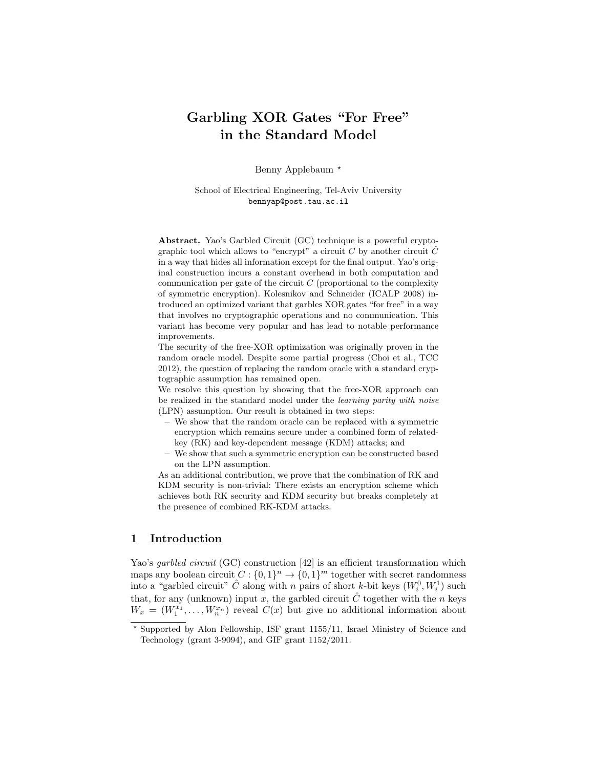# Garbling XOR Gates "For Free" in the Standard Model

Benny Applebaum<sup>\*</sup>

School of Electrical Engineering, Tel-Aviv University bennyap@post.tau.ac.il

Abstract. Yao's Garbled Circuit (GC) technique is a powerful cryptographic tool which allows to "encrypt" a circuit C by another circuit  $\hat{C}$ in a way that hides all information except for the final output. Yao's original construction incurs a constant overhead in both computation and communication per gate of the circuit  $C$  (proportional to the complexity of symmetric encryption). Kolesnikov and Schneider (ICALP 2008) introduced an optimized variant that garbles XOR gates "for free" in a way that involves no cryptographic operations and no communication. This variant has become very popular and has lead to notable performance improvements.

The security of the free-XOR optimization was originally proven in the random oracle model. Despite some partial progress (Choi et al., TCC 2012), the question of replacing the random oracle with a standard cryptographic assumption has remained open.

We resolve this question by showing that the free-XOR approach can be realized in the standard model under the learning parity with noise (LPN) assumption. Our result is obtained in two steps:

- We show that the random oracle can be replaced with a symmetric encryption which remains secure under a combined form of relatedkey (RK) and key-dependent message (KDM) attacks; and
- We show that such a symmetric encryption can be constructed based on the LPN assumption.

As an additional contribution, we prove that the combination of RK and KDM security is non-trivial: There exists an encryption scheme which achieves both RK security and KDM security but breaks completely at the presence of combined RK-KDM attacks.

# 1 Introduction

Yao's *garbled circuit* (GC) construction [42] is an efficient transformation which maps any boolean circuit  $C: \{0,1\}^n \to \{0,1\}^m$  together with secret randomness into a "garbled circuit"  $\hat{C}$  along with n pairs of short k-bit keys  $(W_i^0, W_i^1)$  such that, for any (unknown) input x, the garbled circuit  $\hat{C}$  together with the n keys  $W_x = (W_1^{x_1}, \ldots, W_n^{x_n})$  reveal  $C(x)$  but give no additional information about

<sup>?</sup> Supported by Alon Fellowship, ISF grant 1155/11, Israel Ministry of Science and Technology (grant 3-9094), and GIF grant 1152/2011.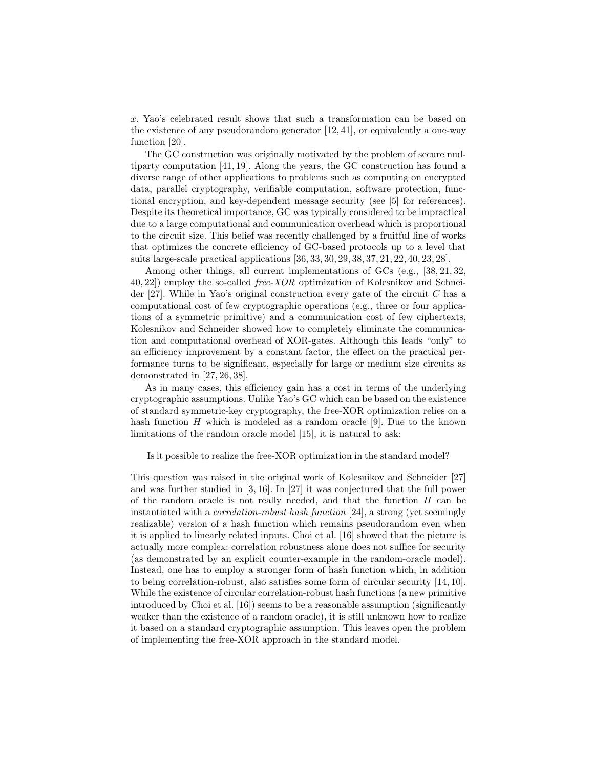x. Yao's celebrated result shows that such a transformation can be based on the existence of any pseudorandom generator [12, 41], or equivalently a one-way function [20].

The GC construction was originally motivated by the problem of secure multiparty computation [41, 19]. Along the years, the GC construction has found a diverse range of other applications to problems such as computing on encrypted data, parallel cryptography, verifiable computation, software protection, functional encryption, and key-dependent message security (see [5] for references). Despite its theoretical importance, GC was typically considered to be impractical due to a large computational and communication overhead which is proportional to the circuit size. This belief was recently challenged by a fruitful line of works that optimizes the concrete efficiency of GC-based protocols up to a level that suits large-scale practical applications [36, 33, 30, 29, 38, 37, 21, 22, 40, 23, 28].

Among other things, all current implementations of GCs (e.g., [38, 21, 32, 40, 22]) employ the so-called free-XOR optimization of Kolesnikov and Schneider  $[27]$ . While in Yao's original construction every gate of the circuit C has a computational cost of few cryptographic operations (e.g., three or four applications of a symmetric primitive) and a communication cost of few ciphertexts, Kolesnikov and Schneider showed how to completely eliminate the communication and computational overhead of XOR-gates. Although this leads "only" to an efficiency improvement by a constant factor, the effect on the practical performance turns to be significant, especially for large or medium size circuits as demonstrated in [27, 26, 38].

As in many cases, this efficiency gain has a cost in terms of the underlying cryptographic assumptions. Unlike Yao's GC which can be based on the existence of standard symmetric-key cryptography, the free-XOR optimization relies on a hash function  $H$  which is modeled as a random oracle [9]. Due to the known limitations of the random oracle model [15], it is natural to ask:

Is it possible to realize the free-XOR optimization in the standard model?

This question was raised in the original work of Kolesnikov and Schneider [27] and was further studied in [3, 16]. In [27] it was conjectured that the full power of the random oracle is not really needed, and that the function  $H$  can be instantiated with a correlation-robust hash function [24], a strong (yet seemingly realizable) version of a hash function which remains pseudorandom even when it is applied to linearly related inputs. Choi et al. [16] showed that the picture is actually more complex: correlation robustness alone does not suffice for security (as demonstrated by an explicit counter-example in the random-oracle model). Instead, one has to employ a stronger form of hash function which, in addition to being correlation-robust, also satisfies some form of circular security [14, 10]. While the existence of circular correlation-robust hash functions (a new primitive introduced by Choi et al. [16]) seems to be a reasonable assumption (significantly weaker than the existence of a random oracle), it is still unknown how to realize it based on a standard cryptographic assumption. This leaves open the problem of implementing the free-XOR approach in the standard model.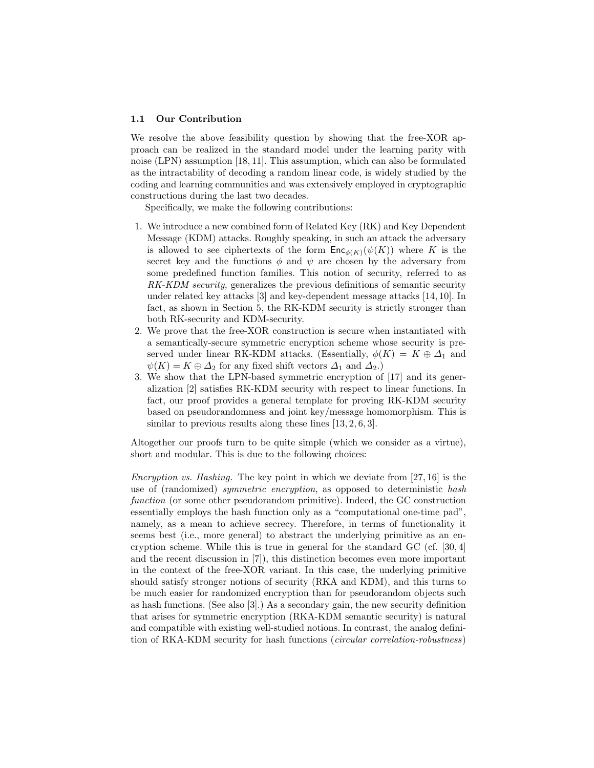#### 1.1 Our Contribution

We resolve the above feasibility question by showing that the free-XOR approach can be realized in the standard model under the learning parity with noise (LPN) assumption [18, 11]. This assumption, which can also be formulated as the intractability of decoding a random linear code, is widely studied by the coding and learning communities and was extensively employed in cryptographic constructions during the last two decades.

Specifically, we make the following contributions:

- 1. We introduce a new combined form of Related Key (RK) and Key Dependent Message (KDM) attacks. Roughly speaking, in such an attack the adversary is allowed to see ciphertexts of the form  $\mathsf{Enc}_{\phi(K)}(\psi(K))$  where K is the secret key and the functions  $\phi$  and  $\psi$  are chosen by the adversary from some predefined function families. This notion of security, referred to as RK-KDM security, generalizes the previous definitions of semantic security under related key attacks [3] and key-dependent message attacks [14, 10]. In fact, as shown in Section 5, the RK-KDM security is strictly stronger than both RK-security and KDM-security.
- 2. We prove that the free-XOR construction is secure when instantiated with a semantically-secure symmetric encryption scheme whose security is preserved under linear RK-KDM attacks. (Essentially,  $\phi(K) = K \oplus \Delta_1$  and  $\psi(K) = K \oplus \Delta_2$  for any fixed shift vectors  $\Delta_1$  and  $\Delta_2$ .)
- 3. We show that the LPN-based symmetric encryption of [17] and its generalization [2] satisfies RK-KDM security with respect to linear functions. In fact, our proof provides a general template for proving RK-KDM security based on pseudorandomness and joint key/message homomorphism. This is similar to previous results along these lines [13, 2, 6, 3].

Altogether our proofs turn to be quite simple (which we consider as a virtue), short and modular. This is due to the following choices:

*Encryption vs. Hashing.* The key point in which we deviate from  $[27, 16]$  is the use of (randomized) *symmetric encryption*, as opposed to deterministic hash function (or some other pseudorandom primitive). Indeed, the GC construction essentially employs the hash function only as a "computational one-time pad", namely, as a mean to achieve secrecy. Therefore, in terms of functionality it seems best (i.e., more general) to abstract the underlying primitive as an encryption scheme. While this is true in general for the standard  $GC$  (cf. [30, 4] and the recent discussion in [7]), this distinction becomes even more important in the context of the free-XOR variant. In this case, the underlying primitive should satisfy stronger notions of security (RKA and KDM), and this turns to be much easier for randomized encryption than for pseudorandom objects such as hash functions. (See also [3].) As a secondary gain, the new security definition that arises for symmetric encryption (RKA-KDM semantic security) is natural and compatible with existing well-studied notions. In contrast, the analog definition of RKA-KDM security for hash functions (circular correlation-robustness)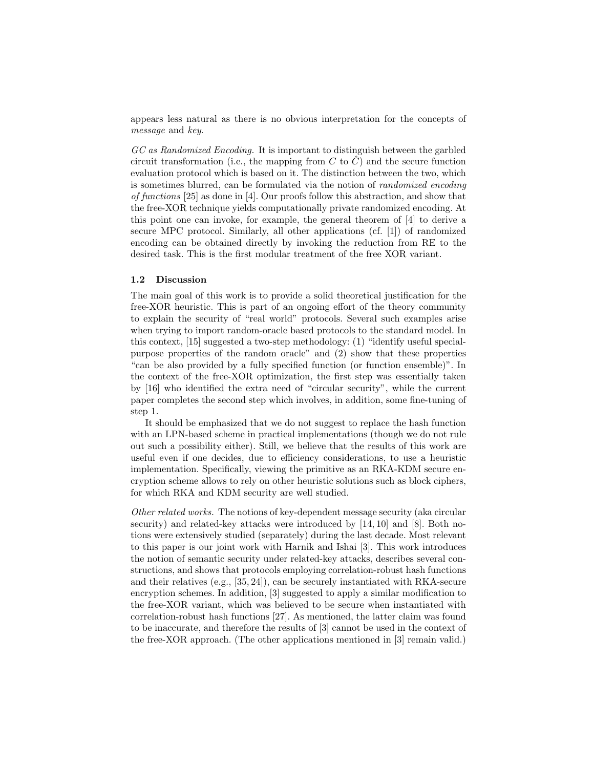appears less natural as there is no obvious interpretation for the concepts of message and key.

GC as Randomized Encoding. It is important to distinguish between the garbled circuit transformation (i.e., the mapping from  $C$  to  $C$ ) and the secure function evaluation protocol which is based on it. The distinction between the two, which is sometimes blurred, can be formulated via the notion of randomized encoding of functions [25] as done in [4]. Our proofs follow this abstraction, and show that the free-XOR technique yields computationally private randomized encoding. At this point one can invoke, for example, the general theorem of [4] to derive a secure MPC protocol. Similarly, all other applications (cf. [1]) of randomized encoding can be obtained directly by invoking the reduction from RE to the desired task. This is the first modular treatment of the free XOR variant.

#### 1.2 Discussion

The main goal of this work is to provide a solid theoretical justification for the free-XOR heuristic. This is part of an ongoing effort of the theory community to explain the security of "real world" protocols. Several such examples arise when trying to import random-oracle based protocols to the standard model. In this context, [15] suggested a two-step methodology: (1) "identify useful specialpurpose properties of the random oracle" and (2) show that these properties "can be also provided by a fully specified function (or function ensemble)". In the context of the free-XOR optimization, the first step was essentially taken by [16] who identified the extra need of "circular security", while the current paper completes the second step which involves, in addition, some fine-tuning of step 1.

It should be emphasized that we do not suggest to replace the hash function with an LPN-based scheme in practical implementations (though we do not rule out such a possibility either). Still, we believe that the results of this work are useful even if one decides, due to efficiency considerations, to use a heuristic implementation. Specifically, viewing the primitive as an RKA-KDM secure encryption scheme allows to rely on other heuristic solutions such as block ciphers, for which RKA and KDM security are well studied.

Other related works. The notions of key-dependent message security (aka circular security) and related-key attacks were introduced by [14, 10] and [8]. Both notions were extensively studied (separately) during the last decade. Most relevant to this paper is our joint work with Harnik and Ishai [3]. This work introduces the notion of semantic security under related-key attacks, describes several constructions, and shows that protocols employing correlation-robust hash functions and their relatives (e.g., [35, 24]), can be securely instantiated with RKA-secure encryption schemes. In addition, [3] suggested to apply a similar modification to the free-XOR variant, which was believed to be secure when instantiated with correlation-robust hash functions [27]. As mentioned, the latter claim was found to be inaccurate, and therefore the results of [3] cannot be used in the context of the free-XOR approach. (The other applications mentioned in [3] remain valid.)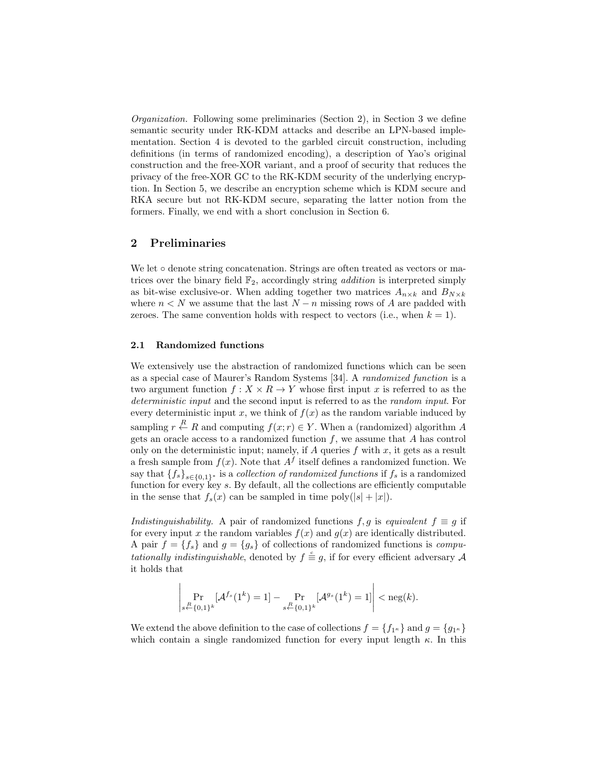Organization. Following some preliminaries (Section 2), in Section 3 we define semantic security under RK-KDM attacks and describe an LPN-based implementation. Section 4 is devoted to the garbled circuit construction, including definitions (in terms of randomized encoding), a description of Yao's original construction and the free-XOR variant, and a proof of security that reduces the privacy of the free-XOR GC to the RK-KDM security of the underlying encryption. In Section 5, we describe an encryption scheme which is KDM secure and RKA secure but not RK-KDM secure, separating the latter notion from the formers. Finally, we end with a short conclusion in Section 6.

## 2 Preliminaries

We let ∘ denote string concatenation. Strings are often treated as vectors or matrices over the binary field  $\mathbb{F}_2$ , accordingly string *addition* is interpreted simply as bit-wise exclusive-or. When adding together two matrices  $A_{n\times k}$  and  $B_{N\times k}$ where  $n < N$  we assume that the last  $N - n$  missing rows of A are padded with zeroes. The same convention holds with respect to vectors (i.e., when  $k = 1$ ).

## 2.1 Randomized functions

We extensively use the abstraction of randomized functions which can be seen as a special case of Maurer's Random Systems [34]. A randomized function is a two argument function  $f: X \times R \to Y$  whose first input x is referred to as the deterministic input and the second input is referred to as the *random input*. For every deterministic input x, we think of  $f(x)$  as the random variable induced by sampling  $r \stackrel{R}{\leftarrow} R$  and computing  $f(x; r) \in Y$ . When a (randomized) algorithm A gets an oracle access to a randomized function  $f$ , we assume that  $A$  has control only on the deterministic input; namely, if A queries f with x, it gets as a result a fresh sample from  $f(x)$ . Note that  $A<sup>f</sup>$  itself defines a randomized function. We say that  ${f_s}_{s\in{0,1}}$ <sup>\*</sup> is a *collection of randomized functions* if  $f_s$  is a randomized function for every key s. By default, all the collections are efficiently computable in the sense that  $f_s(x)$  can be sampled in time poly $(|s| + |x|)$ .

Indistinguishability. A pair of randomized functions f, g is equivalent  $f \equiv g$  if for every input x the random variables  $f(x)$  and  $g(x)$  are identically distributed. A pair  $f = \{f_s\}$  and  $g = \{g_s\}$  of collections of randomized functions is *compu*tationally indistinguishable, denoted by  $f \stackrel{c}{\equiv} g$ , if for every efficient adversary A it holds that

$$
\left|\Pr_{s \stackrel{R}{\leftarrow} \{0,1\}^k} [\mathcal{A}^{f_s}(1^k) = 1] - \Pr_{s \stackrel{R}{\leftarrow} \{0,1\}^k} [\mathcal{A}^{g_s}(1^k) = 1] \right| < \text{neg}(k).
$$

We extend the above definition to the case of collections  $f = \{f_{1^{\kappa}}\}$  and  $g = \{g_{1^{\kappa}}\}$ which contain a single randomized function for every input length  $\kappa$ . In this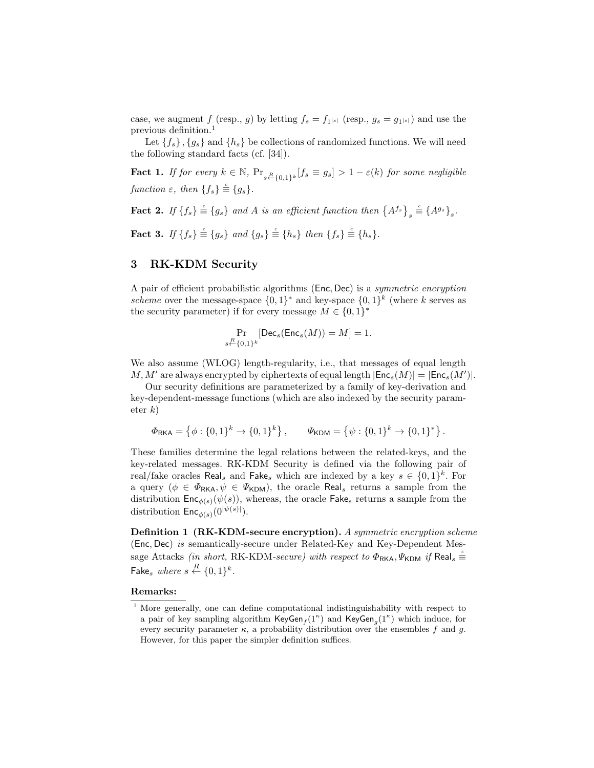case, we augment f (resp., g) by letting  $f_s = f_{1^{|s|}}$  (resp.,  $g_s = g_{1^{|s|}}$ ) and use the previous definition.<sup>1</sup>

Let  ${f_s}$ ,  ${g_s}$  and  ${h_s}$  be collections of randomized functions. We will need the following standard facts (cf. [34]).

**Fact 1.** If for every  $k \in \mathbb{N}$ ,  $\Pr_{s \leftarrow \{0,1\}^k} [f_s \equiv g_s] > 1 - \varepsilon(k)$  for some negligible function  $\varepsilon$ , then  $\{f_s\} \stackrel{c}{\equiv} \{g_s\}.$ 

**Fact 2.** If  $\{f_s\} \stackrel{\scriptscriptstyle c}{\equiv} \{g_s\}$  and A is an efficient function then  $\{A^{f_s}\}_s$  $\stackrel{\scriptscriptstyle c}{\equiv}\{A^{g_s}\}_s.$ 

**Fact 3.** If  $\{f_s\} \stackrel{\scriptscriptstyle c}{\equiv} \{g_s\}$  and  $\{g_s\} \stackrel{\scriptscriptstyle c}{\equiv} \{h_s\}$  then  $\{f_s\} \stackrel{\scriptscriptstyle c}{\equiv} \{h_s\}$ .

## 3 RK-KDM Security

A pair of efficient probabilistic algorithms (Enc, Dec) is a symmetric encryption scheme over the message-space  $\{0,1\}^*$  and key-space  $\{0,1\}^k$  (where k serves as the security parameter) if for every message  $M \in \{0,1\}^*$ 

$$
\Pr_{s\stackrel{R}{\leftarrow}\{0,1\}^k}[\mathsf{Dec}_s(\mathsf{Enc}_s(M))=M]=1.
$$

We also assume (WLOG) length-regularity, i.e., that messages of equal length M, M' are always encrypted by ciphertexts of equal length  $|\mathsf{Enc}_s(M)| = |\mathsf{Enc}_s(M')|$ .

Our security definitions are parameterized by a family of key-derivation and key-dependent-message functions (which are also indexed by the security parameter  $k$ )

$$
\Phi_{\mathsf{RKA}} = \left\{ \phi : \{0,1\}^k \to \{0,1\}^k \right\}, \qquad \Psi_{\mathsf{KDM}} = \left\{ \psi : \{0,1\}^k \to \{0,1\}^* \right\}.
$$

These families determine the legal relations between the related-keys, and the key-related messages. RK-KDM Security is defined via the following pair of real/fake oracles  $\text{Real}_s$  and  $\text{False}_s$  which are indexed by a key  $s \in \{0,1\}^k$ . For a query ( $\phi \in \Phi_{\mathsf{RKA}}, \psi \in \Psi_{\mathsf{KDM}}$ ), the oracle Real, returns a sample from the distribution  $Enc_{\phi(s)}(\psi(s))$ , whereas, the oracle Fake<sub>s</sub> returns a sample from the distribution  $\mathsf{Enc}_{\phi(s)}(0^{|\psi(s)|}).$ 

Definition 1 (RK-KDM-secure encryption). A symmetric encryption scheme (Enc, Dec) is semantically-secure under Related-Key and Key-Dependent Message Attacks *(in short, RK-KDM-secure) with respect to*  $\Phi_{\sf RKA}$ ,  $\Psi_{\sf KDM}$  *if Real*<sub>s</sub>  $\stackrel{\circ}{=}$ Fake<sub>s</sub> where  $s \stackrel{R}{\leftarrow} \{0,1\}^k$ .

## Remarks:

<sup>&</sup>lt;sup>1</sup> More generally, one can define computational indistinguishability with respect to a pair of key sampling algorithm  $\mathsf{KeyGen}_f(1^{\kappa})$  and  $\mathsf{KeyGen}_g(1^{\kappa})$  which induce, for every security parameter  $\kappa$ , a probability distribution over the ensembles f and g. However, for this paper the simpler definition suffices.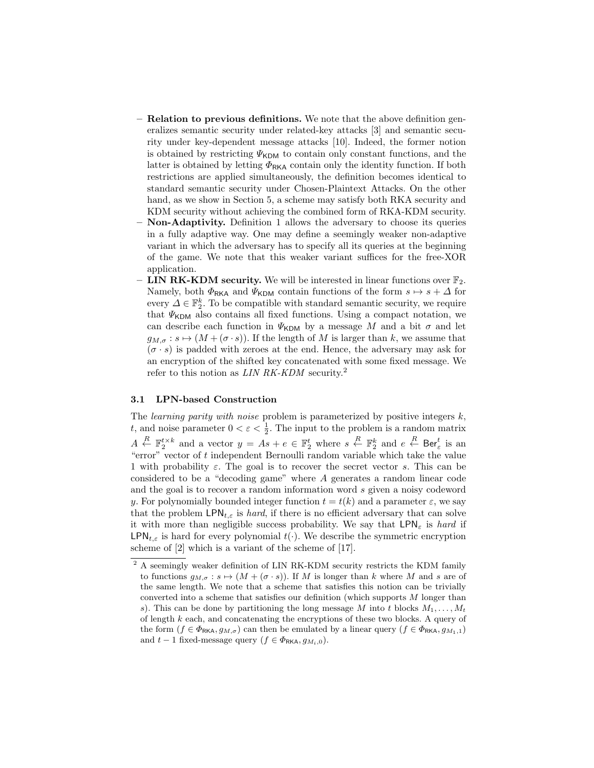- Relation to previous definitions. We note that the above definition generalizes semantic security under related-key attacks [3] and semantic security under key-dependent message attacks [10]. Indeed, the former notion is obtained by restricting  $\Psi_{\mathsf{KDM}}$  to contain only constant functions, and the latter is obtained by letting  $\Phi_{\rm RKA}$  contain only the identity function. If both restrictions are applied simultaneously, the definition becomes identical to standard semantic security under Chosen-Plaintext Attacks. On the other hand, as we show in Section 5, a scheme may satisfy both RKA security and KDM security without achieving the combined form of RKA-KDM security.
- Non-Adaptivity. Definition 1 allows the adversary to choose its queries in a fully adaptive way. One may define a seemingly weaker non-adaptive variant in which the adversary has to specify all its queries at the beginning of the game. We note that this weaker variant suffices for the free-XOR application.
- LIN RK-KDM security. We will be interested in linear functions over  $\mathbb{F}_2$ . Namely, both  $\Phi_{\mathsf{RKA}}$  and  $\Psi_{\mathsf{KDM}}$  contain functions of the form  $s \mapsto s + \Delta$  for every  $\tilde{\Delta} \in \mathbb{F}_2^k$ . To be compatible with standard semantic security, we require that  $\Psi_{\text{KDM}}$  also contains all fixed functions. Using a compact notation, we can describe each function in  $\Psi_{\text{KDM}}$  by a message M and a bit  $\sigma$  and let  $g_{M,\sigma}: s \mapsto (M + (\sigma \cdot s))$ . If the length of M is larger than k, we assume that  $(\sigma \cdot s)$  is padded with zeroes at the end. Hence, the adversary may ask for an encryption of the shifted key concatenated with some fixed message. We refer to this notion as LIN RK-KDM security.<sup>2</sup>

### 3.1 LPN-based Construction

The *learning parity with noise* problem is parameterized by positive integers  $k$ , t, and noise parameter  $0 < \varepsilon < \frac{1}{2}$ . The input to the problem is a random matrix  $A \stackrel{R}{\leftarrow} \mathbb{F}_2^{t \times k}$  and a vector  $y = As + e \in \mathbb{F}_2^t$  where  $s \stackrel{R}{\leftarrow} \mathbb{F}_2^k$  and  $e \stackrel{R}{\leftarrow} \text{Ber}_{\varepsilon}^t$  is an "error" vector of  $t$  independent Bernoulli random variable which take the value 1 with probability  $\varepsilon$ . The goal is to recover the secret vector s. This can be considered to be a "decoding game" where A generates a random linear code and the goal is to recover a random information word s given a noisy codeword y. For polynomially bounded integer function  $t = t(k)$  and a parameter  $\varepsilon$ , we say that the problem  $\text{LPN}_{t,\varepsilon}$  is hard, if there is no efficient adversary that can solve it with more than negligible success probability. We say that  $\text{LPN}_\varepsilon$  is hard if  $\mathsf{LPN}_{t,\varepsilon}$  is hard for every polynomial  $t(\cdot)$ . We describe the symmetric encryption scheme of [2] which is a variant of the scheme of [17].

 $^2$  A seemingly weaker definition of LIN RK-KDM security restricts the KDM family to functions  $g_{M,\sigma}: s \mapsto (M + (\sigma \cdot s))$ . If M is longer than k where M and s are of the same length. We note that a scheme that satisfies this notion can be trivially converted into a scheme that satisfies our definition (which supports M longer than s). This can be done by partitioning the long message M into t blocks  $M_1, \ldots, M_t$ of length  $k$  each, and concatenating the encryptions of these two blocks. A query of the form  $(f \in \Phi_{\mathsf{RKA}}, g_{M,\sigma})$  can then be emulated by a linear query  $(f \in \Phi_{\mathsf{RKA}}, g_{M_1,1})$ and  $t-1$  fixed-message query  $(f \in \Phi_{\text{RKA}}, g_{M_i,0}).$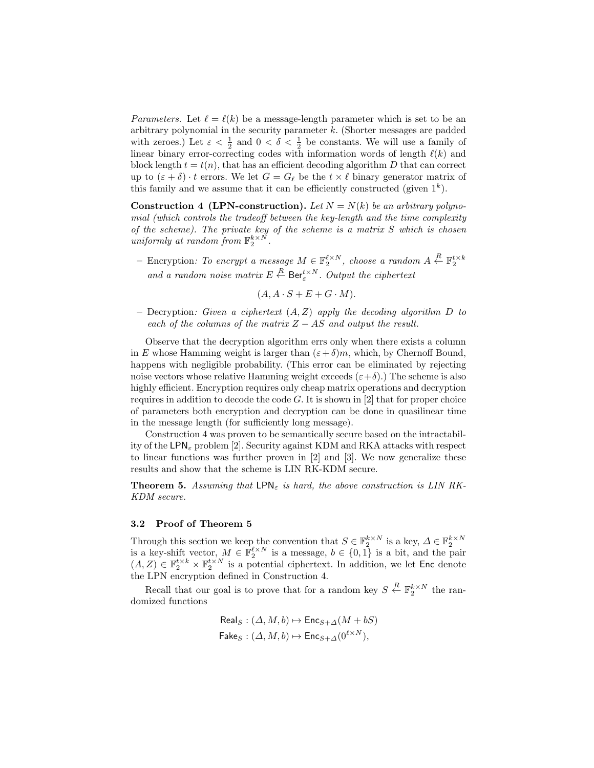*Parameters.* Let  $\ell = \ell(k)$  be a message-length parameter which is set to be an arbitrary polynomial in the security parameter k. (Shorter messages are padded with zeroes.) Let  $\varepsilon < \frac{1}{2}$  and  $0 < \delta < \frac{1}{2}$  be constants. We will use a family of linear binary error-correcting codes with information words of length  $\ell(k)$  and block length  $t = t(n)$ , that has an efficient decoding algorithm D that can correct up to  $(\varepsilon + \delta) \cdot t$  errors. We let  $G = G_\ell$  be the  $t \times \ell$  binary generator matrix of this family and we assume that it can be efficiently constructed (given  $1^k$ ).

**Construction 4 (LPN-construction).** Let  $N = N(k)$  be an arbitrary polynomial (which controls the tradeoff between the key-length and the time complexity of the scheme). The private key of the scheme is a matrix S which is chosen uniformly at random from  $\mathbb{F}_2^{k \times N}$ .

- Encryption: To encrypt a message  $M \in \mathbb{F}_2^{\ell \times N}$ , choose a random  $A \stackrel{R}{\leftarrow} \mathbb{F}_2^{t \times k}$ and a random noise matrix  $E \stackrel{R}{\leftarrow} \text{Ber}_{\varepsilon}^{t \times N}$ . Output the ciphertext

 $(A, A \cdot S + E + G \cdot M).$ 

– Decryption: Given a ciphertext  $(A, Z)$  apply the decoding algorithm D to each of the columns of the matrix  $Z - AS$  and output the result.

Observe that the decryption algorithm errs only when there exists a column in E whose Hamming weight is larger than  $(\varepsilon + \delta)m$ , which, by Chernoff Bound, happens with negligible probability. (This error can be eliminated by rejecting noise vectors whose relative Hamming weight exceeds  $(\varepsilon+\delta)$ .) The scheme is also highly efficient. Encryption requires only cheap matrix operations and decryption requires in addition to decode the code  $G$ . It is shown in [2] that for proper choice of parameters both encryption and decryption can be done in quasilinear time in the message length (for sufficiently long message).

Construction 4 was proven to be semantically secure based on the intractability of the LPN<sub> $\varepsilon$ </sub> problem [2]. Security against KDM and RKA attacks with respect to linear functions was further proven in [2] and [3]. We now generalize these results and show that the scheme is LIN RK-KDM secure.

**Theorem 5.** Assuming that LPN<sub> $\varepsilon$ </sub> is hard, the above construction is LIN RK-KDM secure.

## 3.2 Proof of Theorem 5

Through this section we keep the convention that  $S \in \mathbb{F}_2^{k \times N}$  is a key,  $\Delta \in \mathbb{F}_2^{k \times N}$ <br>is a key-shift vector,  $M \in \mathbb{F}_2^{\ell \times N}$  is a message,  $b \in \{0, 1\}$  is a bit, and the pair  $(A, Z) \in \mathbb{F}_2^{t \times k} \times \mathbb{F}_2^{t \times N}$  is a potential ciphertext. In addition, we let Enc denote the LPN encryption defined in Construction 4.

Recall that our goal is to prove that for a random key  $S \stackrel{R}{\leftarrow} \mathbb{F}_2^{k \times N}$  the randomized functions

$$
\begin{aligned} \mathsf{Real}_{S} : (\Delta, M, b) &\mapsto \mathsf{Enc}_{S+\Delta}(M + bS) \\ \mathsf{False}_{S} : (\Delta, M, b) &\mapsto \mathsf{Enc}_{S+\Delta}(0^{\ell \times N}), \end{aligned}
$$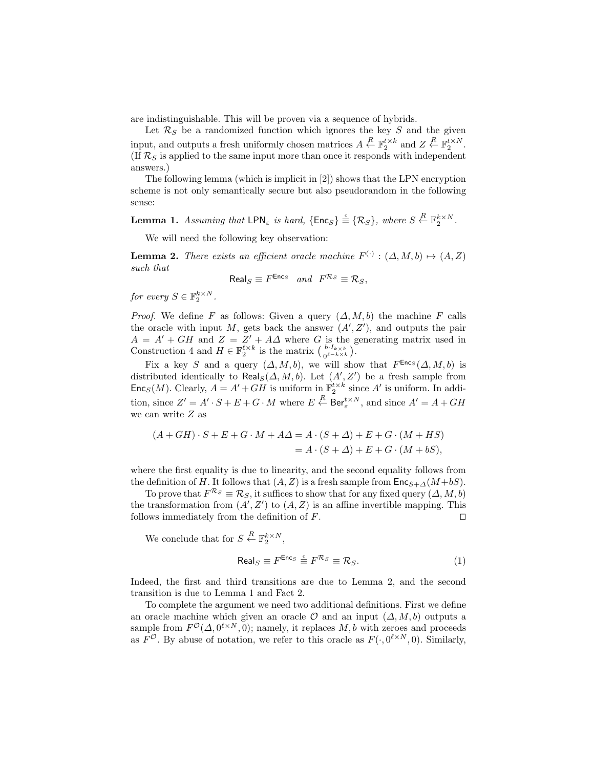are indistinguishable. This will be proven via a sequence of hybrids.

Let  $\mathcal{R}_S$  be a randomized function which ignores the key S and the given input, and outputs a fresh uniformly chosen matrices  $A \stackrel{R}{\leftarrow} \mathbb{F}_2^{t \times k}$  and  $Z \stackrel{R}{\leftarrow} \mathbb{F}_2^{t \times N}$ .  $(\text{If } \mathcal{R}_S)$  is applied to the same input more than once it responds with independent answers.)

The following lemma (which is implicit in [2]) shows that the LPN encryption scheme is not only semantically secure but also pseudorandom in the following sense:

**Lemma 1.** Assuming that LPN<sub>ε</sub> is hard,  $\{\textsf{Enc}_S\} \stackrel{c}{\equiv} \{\mathcal{R}_S\}$ , where  $S \stackrel{R}{\leftarrow} \mathbb{F}_2^{k \times N}$ .

We will need the following key observation:

**Lemma 2.** There exists an efficient oracle machine  $F^{(\cdot)} : (\Delta, M, b) \mapsto (A, Z)$ such that

$$
\text{Real}_S \equiv F^{\text{Enc}_S} \quad and \quad F^{\mathcal{R}_S} \equiv \mathcal{R}_S,
$$

for every  $S \in \mathbb{F}_2^{k \times N}$ .

*Proof.* We define F as follows: Given a query  $(\Delta, M, b)$  the machine F calls the oracle with input  $M$ , gets back the answer  $(A', Z')$ , and outputs the pair  $A = A' + GH$  and  $Z = Z' + A\Delta$  where G is the generating matrix used in Construction 4 and  $H \in \mathbb{F}_2^{\ell \times k}$  is the matrix  $\left(\begin{array}{c} b \cdot I_{k \times k} \\ 0^{\ell - k \times k} \end{array}\right)$ .

Fix a key S and a query  $(\Delta, M, b)$ , we will show that  $F^{\text{Enc}_S}(\Delta, M, b)$  is distributed identically to  $\text{Real}_S(\Delta, M, b)$ . Let  $(A', Z')$  be a fresh sample from  $\mathsf{Enc}_S(M)$ . Clearly,  $A = A' + GH$  is uniform in  $\mathbb{F}_2^{t \times k}$  since A' is uniform. In addition, since  $Z' = A' \cdot S + E + G \cdot M$  where  $E \stackrel{R}{\leftarrow} \text{Ber}_{\varepsilon}^{t \times N}$ , and since  $A' = A + GH$ we can write Z as

$$
(A+GH)\cdot S + E + G\cdot M + A\Delta = A\cdot (S+\Delta) + E + G\cdot (M+HS)
$$
  
=  $A\cdot (S+\Delta) + E + G\cdot (M+BS)$ ,

where the first equality is due to linearity, and the second equality follows from the definition of H. It follows that  $(A, Z)$  is a fresh sample from  $\mathsf{Enc}_{S+\Delta}(M+bS)$ .

To prove that  $F^{\mathcal{R}_S} \equiv \mathcal{R}_S$ , it suffices to show that for any fixed query  $(\Delta, M, b)$ the transformation from  $(A', Z')$  to  $(A, Z)$  is an affine invertible mapping. This follows immediately from the definition of  $F$ .

We conclude that for  $S \stackrel{R}{\leftarrow} \mathbb{F}_2^{k \times N}$ ,

$$
\text{Real}_S \equiv F^{\text{Enc}_S} \stackrel{c}{\equiv} F^{\mathcal{R}_S} \equiv \mathcal{R}_S. \tag{1}
$$

Indeed, the first and third transitions are due to Lemma 2, and the second transition is due to Lemma 1 and Fact 2.

To complete the argument we need two additional definitions. First we define an oracle machine which given an oracle  $\mathcal O$  and an input  $(\Delta, M, b)$  outputs a sample from  $F^{\mathcal{O}}(\Delta, 0^{\ell \times N}, 0)$ ; namely, it replaces M, b with zeroes and proceeds as  $F^{\mathcal{O}}$ . By abuse of notation, we refer to this oracle as  $F(\cdot, 0^{\ell \times N}, 0)$ . Similarly,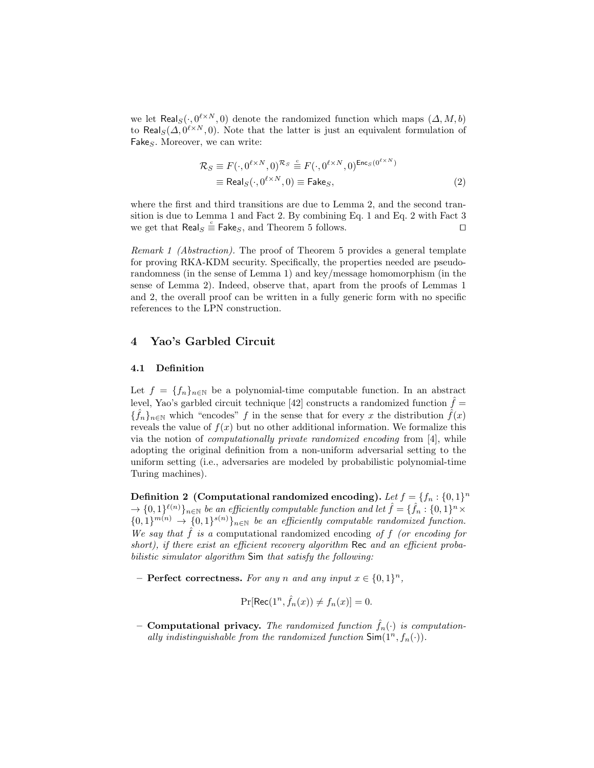we let  $\textsf{Real}_{S}(·, 0^{\ell \times N}, 0)$  denote the randomized function which maps  $(\Delta, M, b)$ to Real<sub>S</sub>( $\Delta$ ,  $0^{l \times N}$ , 0). Note that the latter is just an equivalent formulation of  $\ensuremath{\mathsf{False}}\xspace_S.$  Moreover, we can write:

$$
\mathcal{R}_S \equiv F(\cdot, 0^{\ell \times N}, 0)^{\mathcal{R}_S} \stackrel{c}{\equiv} F(\cdot, 0^{\ell \times N}, 0)^{\text{Enc}_S(0^{\ell \times N})}
$$
  

$$
\equiv \text{Real}_S(\cdot, 0^{\ell \times N}, 0) \equiv \text{False}_S,
$$
 (2)

where the first and third transitions are due to Lemma 2, and the second transition is due to Lemma 1 and Fact 2. By combining Eq. 1 and Eq. 2 with Fact 3 we get that  $\text{Real}_S \stackrel{c}{=} \text{False}_S$ , and Theorem 5 follows.

Remark 1 (Abstraction). The proof of Theorem 5 provides a general template for proving RKA-KDM security. Specifically, the properties needed are pseudorandomness (in the sense of Lemma 1) and key/message homomorphism (in the sense of Lemma 2). Indeed, observe that, apart from the proofs of Lemmas 1 and 2, the overall proof can be written in a fully generic form with no specific references to the LPN construction.

## 4 Yao's Garbled Circuit

#### 4.1 Definition

Let  $f = \{f_n\}_{n\in\mathbb{N}}$  be a polynomial-time computable function. In an abstract level, Yao's garbled circuit technique [42] constructs a randomized function  $\hat{f}$  =  ${\{\hat{f}_n\}}_{n\in\mathbb{N}}$  which "encodes" f in the sense that for every x the distribution  $\hat{f}(x)$ reveals the value of  $f(x)$  but no other additional information. We formalize this via the notion of computationally private randomized encoding from [4], while adopting the original definition from a non-uniform adversarial setting to the uniform setting (i.e., adversaries are modeled by probabilistic polynomial-time Turing machines).

Definition 2 (Computational randomized encoding). Let  $f = \{f_n : \{0,1\}^n\}$  $\to$   $\{0,1\}^{\ell(n)}\}_{n\in\mathbb{N}}$  be an efficiently computable function and let  $\hat{f}=\{\hat{f}_n:\{0,1\}^n\times\}$  ${0,1}^{m(n)} \rightarrow {0,1}^{s(n)}\}_n \in \mathbb{N}$  be an efficiently computable randomized function. We say that  $\hat{f}$  is a computational randomized encoding of f (or encoding for short), if there exist an efficient recovery algorithm Rec and an efficient probabilistic simulator algorithm Sim that satisfy the following:

- Perfect correctness. For any n and any input  $x \in \{0,1\}^n$ ,

$$
\Pr[\text{Rec}(1^n, \hat{f}_n(x)) \neq f_n(x)] = 0.
$$

– Computational privacy. The randomized function  $\hat{f}_n(\cdot)$  is computationally indistinguishable from the randomized function  $\textsf{Sim}(1^n, f_n(\cdot))$ .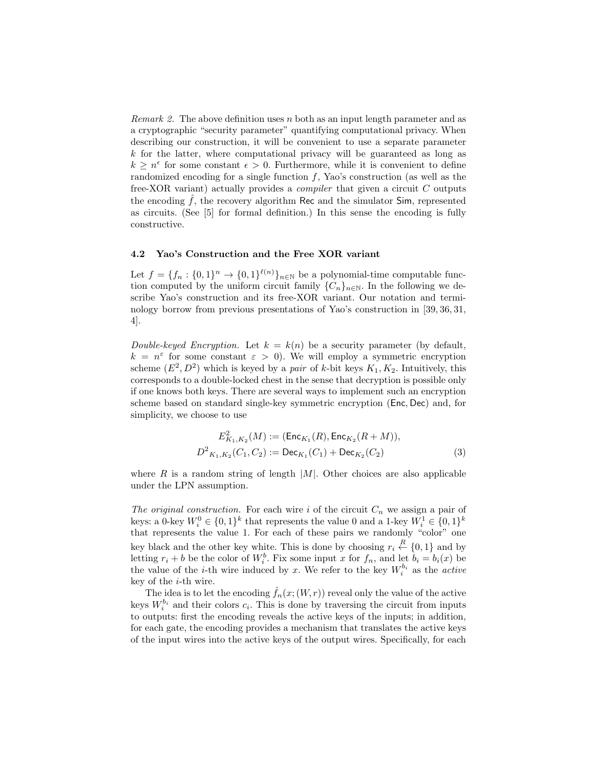*Remark 2.* The above definition uses n both as an input length parameter and as a cryptographic "security parameter" quantifying computational privacy. When describing our construction, it will be convenient to use a separate parameter  $k$  for the latter, where computational privacy will be guaranteed as long as  $k \geq n^{\epsilon}$  for some constant  $\epsilon > 0$ . Furthermore, while it is convenient to define randomized encoding for a single function  $f$ , Yao's construction (as well as the free-XOR variant) actually provides a compiler that given a circuit C outputs the encoding  $f$ , the recovery algorithm Rec and the simulator  $Sim$ , represented as circuits. (See [5] for formal definition.) In this sense the encoding is fully constructive.

### 4.2 Yao's Construction and the Free XOR variant

Let  $f = \{f_n : \{0,1\}^n \to \{0,1\}^{\ell(n)}\}_{n \in \mathbb{N}}$  be a polynomial-time computable function computed by the uniform circuit family  $\{C_n\}_{n\in\mathbb{N}}$ . In the following we describe Yao's construction and its free-XOR variant. Our notation and terminology borrow from previous presentations of Yao's construction in [39, 36, 31, 4].

Double-keyed Encryption. Let  $k = k(n)$  be a security parameter (by default,  $k = n^{\varepsilon}$  for some constant  $\varepsilon > 0$ ). We will employ a symmetric encryption scheme  $(E^2, D^2)$  which is keyed by a *pair* of k-bit keys  $K_1, K_2$ . Intuitively, this corresponds to a double-locked chest in the sense that decryption is possible only if one knows both keys. There are several ways to implement such an encryption scheme based on standard single-key symmetric encryption (Enc, Dec) and, for simplicity, we choose to use

$$
E_{K_1,K_2}^2(M) := (\text{Enc}_{K_1}(R), \text{Enc}_{K_2}(R+M)),
$$
  

$$
D_{K_1,K_2}^2(C_1, C_2) := \text{Dec}_{K_1}(C_1) + \text{Dec}_{K_2}(C_2)
$$
 (3)

where  $R$  is a random string of length |M|. Other choices are also applicable under the LPN assumption.

The original construction. For each wire i of the circuit  $C_n$  we assign a pair of keys: a 0-key  $W_i^0 \in \{0,1\}^k$  that represents the value 0 and a 1-key  $W_i^1 \in \{0,1\}^k$ that represents the value 1. For each of these pairs we randomly "color" one key black and the other key white. This is done by choosing  $r_i \stackrel{R}{\leftarrow} \{0,1\}$  and by letting  $r_i + b$  be the color of  $W_i^b$ . Fix some input x for  $f_n$ , and let  $b_i = b_i(x)$  be the value of the *i*-th wire induced by x. We refer to the key  $W_i^{b_i}$  as the *active* key of the i-th wire.

The idea is to let the encoding  $\hat{f}_n(x;(W,r))$  reveal only the value of the active keys  $W_i^{b_i}$  and their colors  $c_i$ . This is done by traversing the circuit from inputs to outputs: first the encoding reveals the active keys of the inputs; in addition, for each gate, the encoding provides a mechanism that translates the active keys of the input wires into the active keys of the output wires. Specifically, for each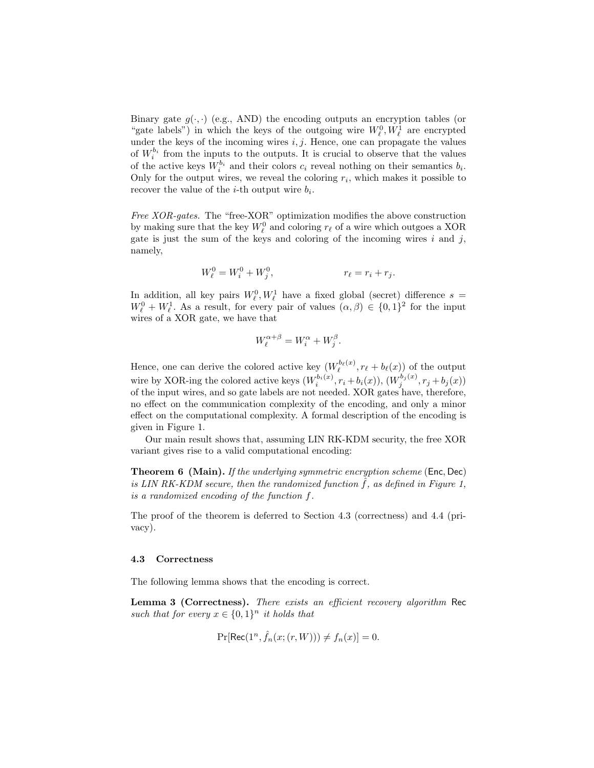Binary gate  $g(\cdot, \cdot)$  (e.g., AND) the encoding outputs an encryption tables (or "gate labels") in which the keys of the outgoing wire  $W_{\ell}^0, W_{\ell}^1$  are encrypted under the keys of the incoming wires  $i, j$ . Hence, one can propagate the values of  $W_i^{b_i}$  from the inputs to the outputs. It is crucial to observe that the values of the active keys  $W_i^{b_i}$  and their colors  $c_i$  reveal nothing on their semantics  $b_i$ . Only for the output wires, we reveal the coloring  $r_i$ , which makes it possible to recover the value of the *i*-th output wire  $b_i$ .

Free XOR-gates. The "free-XOR" optimization modifies the above construction by making sure that the key  $W^0_\ell$  and coloring  $r_\ell$  of a wire which outgoes a XOR gate is just the sum of the keys and coloring of the incoming wires  $i$  and  $j$ , namely,

$$
W_{\ell}^{0} = W_{i}^{0} + W_{j}^{0}, \qquad \qquad r_{\ell} = r_{i} + r_{j}.
$$

In addition, all key pairs  $W_{\ell}^0, W_{\ell}^1$  have a fixed global (secret) difference  $s =$  $W_{\ell}^0 + W_{\ell}^1$ . As a result, for every pair of values  $(\alpha, \beta) \in \{0, 1\}^2$  for the input wires of a XOR gate, we have that

$$
W_{\ell}^{\alpha+\beta} = W_i^{\alpha} + W_j^{\beta}.
$$

Hence, one can derive the colored active key  $(W_{\ell}^{b_{\ell}(x)}, r_{\ell} + b_{\ell}(x))$  of the output wire by XOR-ing the colored active keys  $(W_i^{b_i(x)}, r_i + b_i(x)), (W_j^{b_j(x)}, r_j + b_j(x))$ of the input wires, and so gate labels are not needed. XOR gates have, therefore, no effect on the communication complexity of the encoding, and only a minor effect on the computational complexity. A formal description of the encoding is given in Figure 1.

Our main result shows that, assuming LIN RK-KDM security, the free XOR variant gives rise to a valid computational encoding:

Theorem 6 (Main). If the underlying symmetric encryption scheme (Enc, Dec) is LIN RK-KDM secure, then the randomized function  $\hat{f}$ , as defined in Figure 1, is a randomized encoding of the function f.

The proof of the theorem is deferred to Section 4.3 (correctness) and 4.4 (privacy).

#### 4.3 Correctness

The following lemma shows that the encoding is correct.

Lemma 3 (Correctness). There exists an efficient recovery algorithm Rec such that for every  $x \in \{0,1\}^n$  it holds that

$$
\Pr[\text{Rec}(1^n, \hat{f}_n(x; (r, W))) \neq f_n(x)] = 0.
$$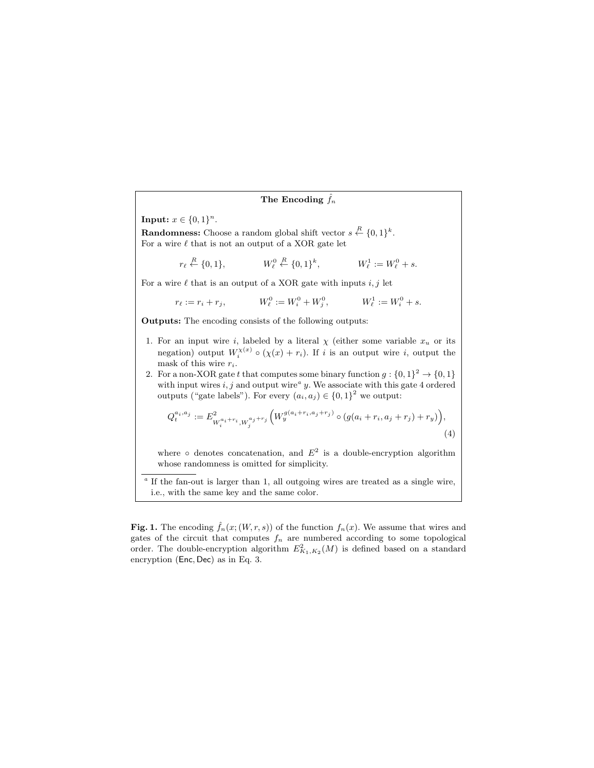#### The Encoding  $\hat{f}_n$

**Input:**  $x \in \{0, 1\}^n$ .

**Randomness:** Choose a random global shift vector  $s \stackrel{R}{\leftarrow} \{0,1\}^k$ . For a wire  $\ell$  that is not an output of a XOR gate let

> $r_{\ell} \stackrel{R}{\leftarrow} \{0, 1\}, \qquad W_{\ell}^0$  $\mathcal{C}^0_\ell \stackrel{R}{\leftarrow} \{0,1\}^k$ ,  $W_{\ell}^{1} := W_{\ell}^{0} + s.$

For a wire  $\ell$  that is an output of a XOR gate with inputs  $i, j$  let

$$
r_{\ell} := r_i + r_j, \qquad W_{\ell}^0 := W_i^0 + W_j^0, \qquad W_{\ell}^1 := W_i^0 + s.
$$

Outputs: The encoding consists of the following outputs:

- 1. For an input wire i, labeled by a literal  $\chi$  (either some variable  $x_u$  or its negation) output  $W_i^{\chi(x)} \circ (\chi(x) + r_i)$ . If i is an output wire i, output the mask of this wire  $r_i$ .
- 2. For a non-XOR gate t that computes some binary function  $g: \{0,1\}^2 \to \{0,1\}$ with input wires  $i, j$  and output wire<sup> $a$ </sup> y. We associate with this gate 4 ordered outputs ("gate labels"). For every  $(a_i, a_j) \in \{0, 1\}^2$  we output:

$$
Q_t^{a_i, a_j} := E_{W_i^{a_i+r_i}, W_j^{a_j+r_j}}^2 \left( W_y^{g(a_i+r_i, a_j+r_j)} \circ (g(a_i+r_i, a_j+r_j) + r_y) \right), \tag{4}
$$

where  $\circ$  denotes concatenation, and  $E^2$  is a double-encryption algorithm whose randomness is omitted for simplicity.

<sup>a</sup> If the fan-out is larger than 1, all outgoing wires are treated as a single wire, i.e., with the same key and the same color.

Fig. 1. The encoding  $\hat{f}_n(x;(W,r,s))$  of the function  $f_n(x)$ . We assume that wires and gates of the circuit that computes  $f_n$  are numbered according to some topological order. The double-encryption algorithm  $E_{K_1,K_2}^2(M)$  is defined based on a standard encryption (Enc, Dec) as in Eq. 3.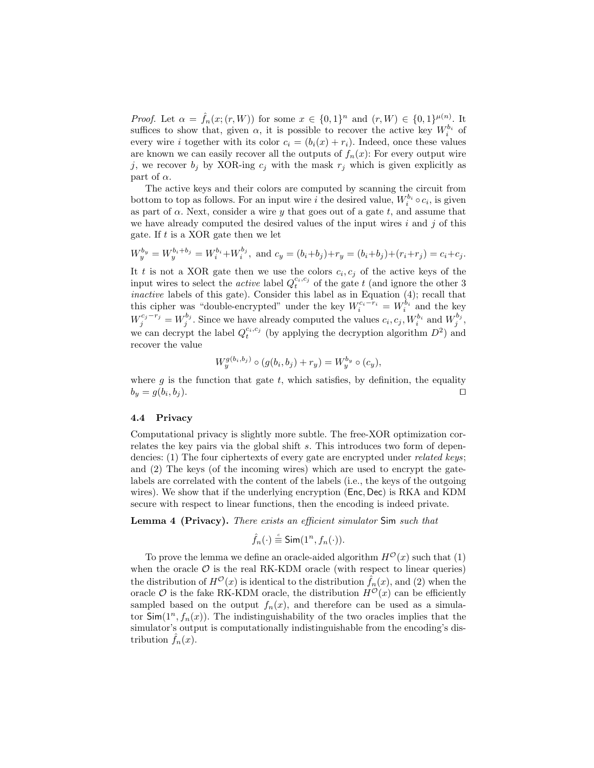*Proof.* Let  $\alpha = \hat{f}_n(x; (r, W))$  for some  $x \in \{0, 1\}^n$  and  $(r, W) \in \{0, 1\}^{\mu(n)}$ . It suffices to show that, given  $\alpha$ , it is possible to recover the active key  $W_i^{b_i}$  of every wire *i* together with its color  $c_i = (b_i(x) + r_i)$ . Indeed, once these values are known we can easily recover all the outputs of  $f_n(x)$ : For every output wire j, we recover  $b_j$  by XOR-ing  $c_j$  with the mask  $r_j$  which is given explicitly as part of  $\alpha$ .

The active keys and their colors are computed by scanning the circuit from bottom to top as follows. For an input wire i the desired value,  $W_i^{b_i} \circ c_i$ , is given as part of  $\alpha$ . Next, consider a wire y that goes out of a gate t, and assume that we have already computed the desired values of the input wires  $i$  and  $j$  of this gate. If  $t$  is a XOR gate then we let

$$
W_y^{b_y} = W_y^{b_i + b_j} = W_i^{b_i} + W_i^{b_j}, \text{ and } c_y = (b_i + b_j) + r_y = (b_i + b_j) + (r_i + r_j) = c_i + c_j.
$$

It t is not a XOR gate then we use the colors  $c_i, c_j$  of the active keys of the input wires to select the *active* label  $Q_t^{c_i,c_j}$  of the gate t (and ignore the other 3 inactive labels of this gate). Consider this label as in Equation (4); recall that this cipher was "double-encrypted" under the key  $W_i^{c_i-r_i} = W_i^{b_i}$  and the key  $W_j^{c_j-r_j} = W_j^{b_j}$ . Since we have already computed the values  $c_i, c_j, W_i^{b_i}$  and  $W_j^{b_j}$ , we can decrypt the label  $Q_t^{c_i,c_j}$  (by applying the decryption algorithm  $D^2$ ) and recover the value

$$
W_y^{g(b_i, b_j)} \circ (g(b_i, b_j) + r_y) = W_y^{b_y} \circ (c_y),
$$

where  $q$  is the function that gate  $t$ , which satisfies, by definition, the equality  $b_y = g(b_i, b_j).$  $,b_j$ ).

## 4.4 Privacy

Computational privacy is slightly more subtle. The free-XOR optimization correlates the key pairs via the global shift s. This introduces two form of dependencies: (1) The four ciphertexts of every gate are encrypted under *related keys*; and (2) The keys (of the incoming wires) which are used to encrypt the gatelabels are correlated with the content of the labels (i.e., the keys of the outgoing wires). We show that if the underlying encryption (Enc, Dec) is RKA and KDM secure with respect to linear functions, then the encoding is indeed private.

Lemma 4 (Privacy). There exists an efficient simulator Sim such that

$$
\hat{f}_n(\cdot) \stackrel{\circ}{\equiv} \text{Sim}(1^n, f_n(\cdot)).
$$

To prove the lemma we define an oracle-aided algorithm  $H^{\mathcal{O}}(x)$  such that (1) when the oracle  $\mathcal O$  is the real RK-KDM oracle (with respect to linear queries) the distribution of  $H^{\mathcal{O}}(x)$  is identical to the distribution  $\hat{f}_n(x)$ , and (2) when the oracle  $\mathcal O$  is the fake RK-KDM oracle, the distribution  $H^{\mathcal O}(x)$  can be efficiently sampled based on the output  $f_n(x)$ , and therefore can be used as a simulator  $\textsf{Sim}(1^n, f_n(x))$ . The indistinguishability of the two oracles implies that the simulator's output is computationally indistinguishable from the encoding's distribution  $f_n(x)$ .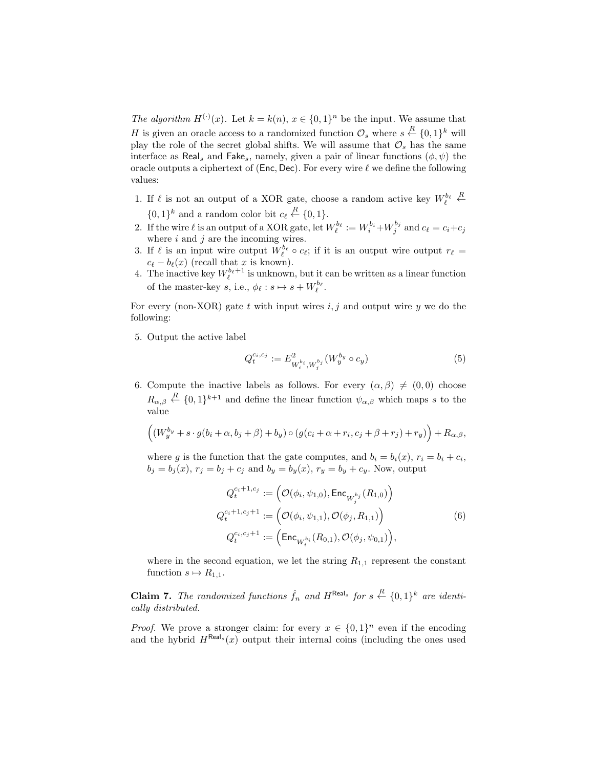The algorithm  $H^{(\cdot)}(x)$ . Let  $k = k(n)$ ,  $x \in \{0,1\}^n$  be the input. We assume that H is given an oracle access to a randomized function  $\mathcal{O}_s$  where  $s \stackrel{R}{\leftarrow} \{0,1\}^k$  will play the role of the secret global shifts. We will assume that  $\mathcal{O}_s$  has the same interface as Real<sub>s</sub> and Fake<sub>s</sub>, namely, given a pair of linear functions  $(\phi, \psi)$  the oracle outputs a ciphertext of (Enc, Dec). For every wire  $\ell$  we define the following values:

- 1. If  $\ell$  is not an output of a XOR gate, choose a random active key  $W^{b_\ell}_\ell$  $\stackrel{R}{\leftarrow}$  $\{0,1\}^k$  and a random color bit  $c_\ell \stackrel{R}{\leftarrow} \{0,1\}.$
- 2. If the wire  $\ell$  is an output of a XOR gate, let  $W_{\ell}^{b_{\ell}} := W_{i}^{b_{i}} + W_{j}^{b_{j}}$  and  $c_{\ell} = c_{i} + c_{j}$ where  $i$  and  $j$  are the incoming wires.
- 3. If  $\ell$  is an input wire output  $W_{\ell}^{b_{\ell}} \circ c_{\ell}$ ; if it is an output wire output  $r_{\ell} =$  $c_{\ell} - b_{\ell}(x)$  (recall that x is known).
- 4. The inactive key  $W_{\ell}^{b_{\ell}+1}$  is unknown, but it can be written as a linear function of the master-key s, i.e.,  $\phi_{\ell} : s \mapsto s + W_{\ell}^{b_{\ell}}$ .

For every (non-XOR) gate t with input wires  $i, j$  and output wire y we do the following:

5. Output the active label

$$
Q_t^{c_i, c_j} := E^2_{W_i^{b_i}, W_j^{b_j}}(W_y^{b_y} \circ c_y)
$$
 (5)

6. Compute the inactive labels as follows. For every  $(\alpha, \beta) \neq (0, 0)$  choose  $R_{\alpha,\beta} \stackrel{R}{\leftarrow} \{0,1\}^{k+1}$  and define the linear function  $\psi_{\alpha,\beta}$  which maps s to the value

$$
((W_y^{b_y} + s \cdot g(b_i + \alpha, b_j + \beta) + b_y) \circ (g(c_i + \alpha + r_i, c_j + \beta + r_j) + r_y)) + R_{\alpha, \beta},
$$

where g is the function that the gate computes, and  $b_i = b_i(x)$ ,  $r_i = b_i + c_i$ ,  $b_j = b_j(x)$ ,  $r_j = b_j + c_j$  and  $b_y = b_y(x)$ ,  $r_y = b_y + c_y$ . Now, output

$$
Q_t^{c_i+1,c_j} := \left(\mathcal{O}(\phi_i, \psi_{1,0}), \text{Enc}_{W_j^{b_j}}(R_{1,0})\right)
$$
  
\n
$$
Q_t^{c_i+1,c_j+1} := \left(\mathcal{O}(\phi_i, \psi_{1,1}), \mathcal{O}(\phi_j, R_{1,1})\right)
$$
  
\n
$$
Q_t^{c_i,c_j+1} := \left(\text{Enc}_{W_i^{b_i}}(R_{0,1}), \mathcal{O}(\phi_j, \psi_{0,1})\right),
$$
\n(6)

where in the second equation, we let the string  $R_{1,1}$  represent the constant function  $s \mapsto R_{1,1}$ .

**Claim 7.** The randomized functions  $\hat{f}_n$  and H<sup>Real</sup>s for  $s \stackrel{R}{\leftarrow} \{0,1\}^k$  are identically distributed.

*Proof.* We prove a stronger claim: for every  $x \in \{0,1\}^n$  even if the encoding and the hybrid  $H^{\text{Real}_s}(x)$  output their internal coins (including the ones used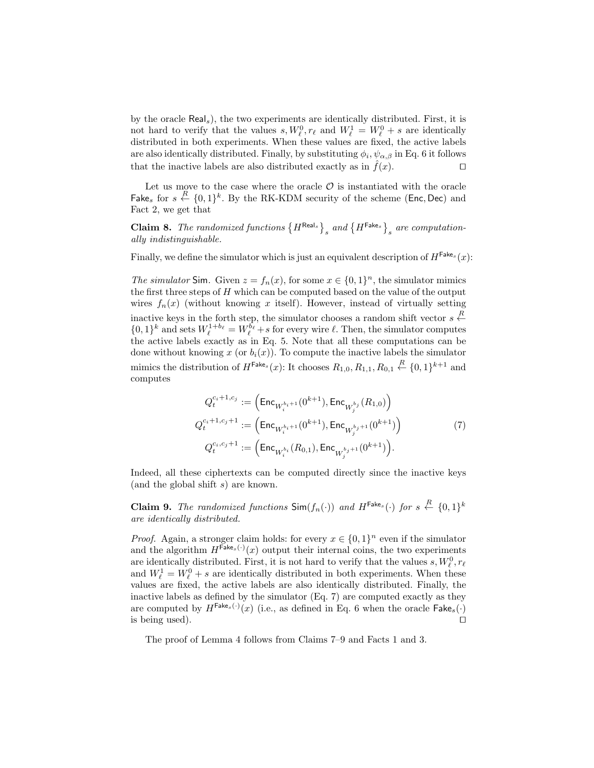by the oracle Reals), the two experiments are identically distributed. First, it is not hard to verify that the values  $s, W_{\ell}^0, r_{\ell}$  and  $W_{\ell}^1 = W_{\ell}^0 + s$  are identically distributed in both experiments. When these values are fixed, the active labels are also identically distributed. Finally, by substituting  $\phi_i, \psi_{\alpha,\beta}$  in Eq. 6 it follows that the inactive labels are also distributed exactly as in  $\hat{f}(x)$ .

Let us move to the case where the oracle  $\mathcal O$  is instantiated with the oracle Fake<sub>s</sub> for  $s \stackrel{R}{\leftarrow} \{0,1\}^k$ . By the RK-KDM security of the scheme (Enc, Dec) and Fact 2, we get that

**Claim 8.** The randomized functions  ${H}^{\text{Real}_s}$ , and  ${H}^{\text{False}}$ , are computationally indistinguishable.

Finally, we define the simulator which is just an equivalent description of  $H^{\text{Fake}_s}(x)$ :

The simulator Sim. Given  $z = f_n(x)$ , for some  $x \in \{0,1\}^n$ , the simulator mimics the first three steps of  $H$  which can be computed based on the value of the output wires  $f_n(x)$  (without knowing x itself). However, instead of virtually setting inactive keys in the forth step, the simulator chooses a random shift vector  $s \stackrel{R}{\leftarrow}$  $\{0,1\}^k$  and sets  $W^{1+b}_{\ell} = W^{b}_{\ell} + s$  for every wire  $\ell$ . Then, the simulator computes the active labels exactly as in Eq. 5. Note that all these computations can be done without knowing x (or  $b_i(x)$ ). To compute the inactive labels the simulator mimics the distribution of  $H^{\mathsf{False}}(x)$ : It chooses  $R_{1,0}, R_{1,1}, R_{0,1} \stackrel{R}{\leftarrow} \{0,1\}^{k+1}$  and computes

$$
Q_t^{c_i+1,c_j} := \left( \text{Enc}_{W_t^{b_i+1}}(0^{k+1}), \text{Enc}_{W_j^{b_j}}(R_{1,0}) \right)
$$
  
\n
$$
Q_t^{c_i+1,c_j+1} := \left( \text{Enc}_{W_t^{b_i+1}}(0^{k+1}), \text{Enc}_{W_j^{b_j+1}}(0^{k+1}) \right)
$$
  
\n
$$
Q_t^{c_i,c_j+1} := \left( \text{Enc}_{W_t^{b_i}}(R_{0,1}), \text{Enc}_{W_j^{b_j+1}}(0^{k+1}) \right).
$$
\n(7)

Indeed, all these ciphertexts can be computed directly since the inactive keys (and the global shift  $s$ ) are known.

**Claim 9.** The randomized functions  $\textsf{Sim}(f_n(\cdot))$  and  $H^{\textsf{False}}(\cdot)$  for  $s \stackrel{R}{\leftarrow} \{0,1\}^k$ are identically distributed.

*Proof.* Again, a stronger claim holds: for every  $x \in \{0,1\}^n$  even if the simulator and the algorithm  $H^{\text{Fake}_s(\cdot)}(x)$  output their internal coins, the two experiments are identically distributed. First, it is not hard to verify that the values  $s, W_{\ell}^0, r_{\ell}$ and  $W^1_\ell = W^0_\ell + s$  are identically distributed in both experiments. When these values are fixed, the active labels are also identically distributed. Finally, the inactive labels as defined by the simulator (Eq. 7) are computed exactly as they are computed by  $H^{\text{False}}(\cdot)(x)$  (i.e., as defined in Eq. 6 when the oracle  $\textsf{False}_s(\cdot)$ is being used).  $\Box$ 

The proof of Lemma 4 follows from Claims 7–9 and Facts 1 and 3.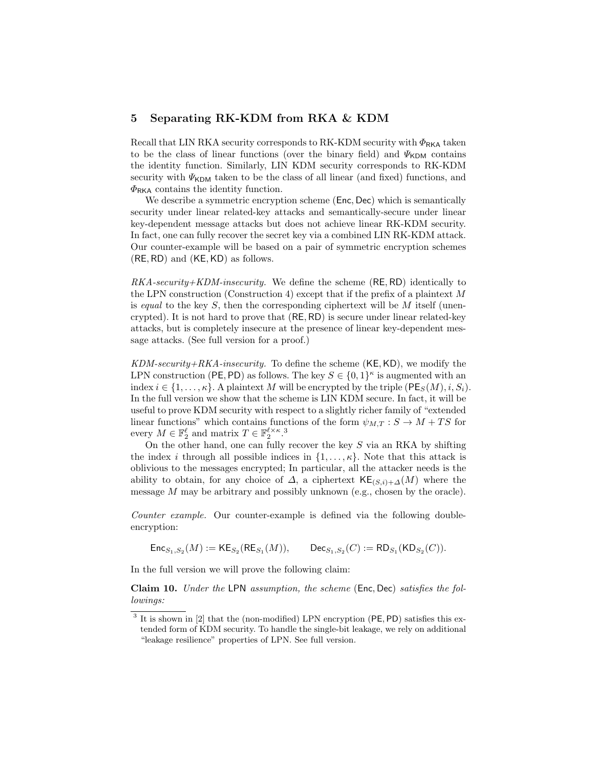## 5 Separating RK-KDM from RKA & KDM

Recall that LIN RKA security corresponds to RK-KDM security with  $\Phi_{\rm RKA}$  taken to be the class of linear functions (over the binary field) and  $\Psi_{\text{KDM}}$  contains the identity function. Similarly, LIN KDM security corresponds to RK-KDM security with  $\Psi_{\text{KDM}}$  taken to be the class of all linear (and fixed) functions, and  $\Phi_{\rm RKA}$  contains the identity function.

We describe a symmetric encryption scheme (Enc, Dec) which is semantically security under linear related-key attacks and semantically-secure under linear key-dependent message attacks but does not achieve linear RK-KDM security. In fact, one can fully recover the secret key via a combined LIN RK-KDM attack. Our counter-example will be based on a pair of symmetric encryption schemes  $(RE, RD)$  and  $(KE, KD)$  as follows.

 $RKA\text{-}security+KDM\text{-}insecurity.$  We define the scheme (RE, RD) identically to the LPN construction (Construction 4) except that if the prefix of a plaintext M is equal to the key  $S$ , then the corresponding ciphertext will be  $M$  itself (unencrypted). It is not hard to prove that (RE, RD) is secure under linear related-key attacks, but is completely insecure at the presence of linear key-dependent message attacks. (See full version for a proof.)

 $KDM\text{-}security\text{-}RKA\text{-}insecurity$ . To define the scheme  $(KE, KD)$ , we modify the LPN construction (PE, PD) as follows. The key  $S \in \{0,1\}^{\kappa}$  is augmented with an index  $i \in \{1, \ldots, \kappa\}$ . A plaintext M will be encrypted by the triple  $(PE_S(M), i, S_i)$ . In the full version we show that the scheme is LIN KDM secure. In fact, it will be useful to prove KDM security with respect to a slightly richer family of "extended linear functions" which contains functions of the form  $\psi_{M,T} : S \to M + TS$  for every  $M \in \mathbb{F}_2^{\ell}$  and matrix  $T \in \mathbb{F}_2^{\ell \times \kappa}$ .<sup>3</sup>

On the other hand, one can fully recover the key  $S$  via an RKA by shifting the index i through all possible indices in  $\{1, \ldots, \kappa\}$ . Note that this attack is oblivious to the messages encrypted; In particular, all the attacker needs is the ability to obtain, for any choice of  $\Delta$ , a ciphertext KE<sub>(S,i)+</sub>∆(M) where the message  $M$  may be arbitrary and possibly unknown (e.g., chosen by the oracle).

Counter example. Our counter-example is defined via the following doubleencryption:

 $\mathsf{Enc}_{S_1, S_2}(M) := \mathsf{KE}_{S_2}(\mathsf{RE}_{S_1})$  $(M)), \text{Dec}_{S_1, S_2}(C) := \text{RD}_{S_1}(\text{KD}_{S_2}(C)).$ 

In the full version we will prove the following claim:

Claim 10. Under the LPN assumption, the scheme (Enc, Dec) satisfies the followings:

 $3$  It is shown in [2] that the (non-modified) LPN encryption (PE, PD) satisfies this extended form of KDM security. To handle the single-bit leakage, we rely on additional "leakage resilience" properties of LPN. See full version.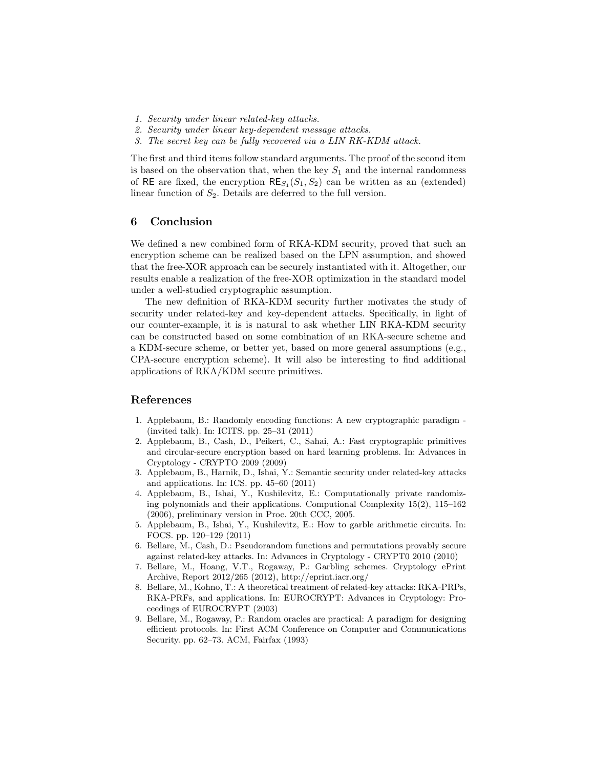- 1. Security under linear related-key attacks.
- 2. Security under linear key-dependent message attacks.
- 3. The secret key can be fully recovered via a LIN RK-KDM attack.

The first and third items follow standard arguments. The proof of the second item is based on the observation that, when the key  $S_1$  and the internal randomness of RE are fixed, the encryption  $RE_{S_1}(S_1, S_2)$  can be written as an (extended) linear function of  $S_2$ . Details are deferred to the full version.

## 6 Conclusion

We defined a new combined form of RKA-KDM security, proved that such an encryption scheme can be realized based on the LPN assumption, and showed that the free-XOR approach can be securely instantiated with it. Altogether, our results enable a realization of the free-XOR optimization in the standard model under a well-studied cryptographic assumption.

The new definition of RKA-KDM security further motivates the study of security under related-key and key-dependent attacks. Specifically, in light of our counter-example, it is is natural to ask whether LIN RKA-KDM security can be constructed based on some combination of an RKA-secure scheme and a KDM-secure scheme, or better yet, based on more general assumptions (e.g., CPA-secure encryption scheme). It will also be interesting to find additional applications of RKA/KDM secure primitives.

## References

- 1. Applebaum, B.: Randomly encoding functions: A new cryptographic paradigm (invited talk). In: ICITS. pp. 25–31 (2011)
- 2. Applebaum, B., Cash, D., Peikert, C., Sahai, A.: Fast cryptographic primitives and circular-secure encryption based on hard learning problems. In: Advances in Cryptology - CRYPTO 2009 (2009)
- 3. Applebaum, B., Harnik, D., Ishai, Y.: Semantic security under related-key attacks and applications. In: ICS. pp. 45–60 (2011)
- 4. Applebaum, B., Ishai, Y., Kushilevitz, E.: Computationally private randomizing polynomials and their applications. Computional Complexity  $15(2)$ ,  $115-162$ (2006), preliminary version in Proc. 20th CCC, 2005.
- 5. Applebaum, B., Ishai, Y., Kushilevitz, E.: How to garble arithmetic circuits. In: FOCS. pp. 120–129 (2011)
- 6. Bellare, M., Cash, D.: Pseudorandom functions and permutations provably secure against related-key attacks. In: Advances in Cryptology - CRYPT0 2010 (2010)
- 7. Bellare, M., Hoang, V.T., Rogaway, P.: Garbling schemes. Cryptology ePrint Archive, Report 2012/265 (2012), http://eprint.iacr.org/
- 8. Bellare, M., Kohno, T.: A theoretical treatment of related-key attacks: RKA-PRPs, RKA-PRFs, and applications. In: EUROCRYPT: Advances in Cryptology: Proceedings of EUROCRYPT (2003)
- 9. Bellare, M., Rogaway, P.: Random oracles are practical: A paradigm for designing efficient protocols. In: First ACM Conference on Computer and Communications Security. pp. 62–73. ACM, Fairfax (1993)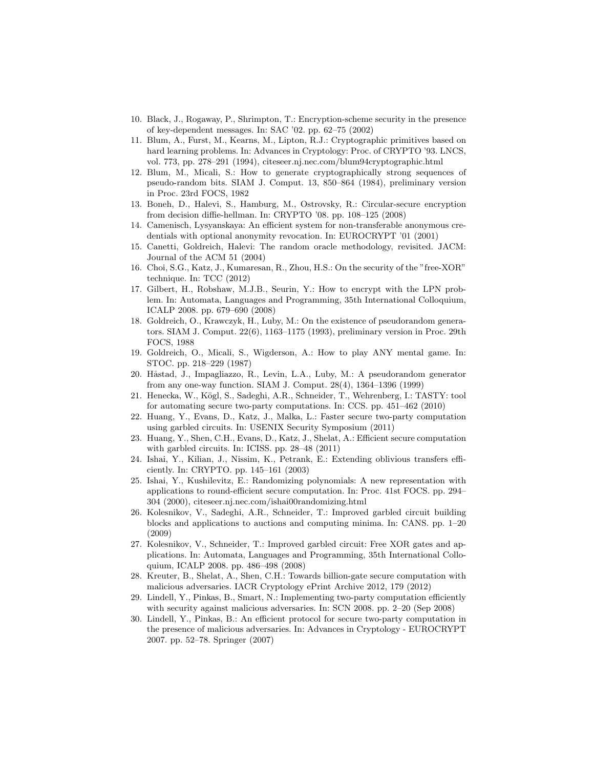- 10. Black, J., Rogaway, P., Shrimpton, T.: Encryption-scheme security in the presence of key-dependent messages. In: SAC '02. pp. 62–75 (2002)
- 11. Blum, A., Furst, M., Kearns, M., Lipton, R.J.: Cryptographic primitives based on hard learning problems. In: Advances in Cryptology: Proc. of CRYPTO '93. LNCS, vol. 773, pp. 278–291 (1994), citeseer.nj.nec.com/blum94cryptographic.html
- 12. Blum, M., Micali, S.: How to generate cryptographically strong sequences of pseudo-random bits. SIAM J. Comput. 13, 850–864 (1984), preliminary version in Proc. 23rd FOCS, 1982
- 13. Boneh, D., Halevi, S., Hamburg, M., Ostrovsky, R.: Circular-secure encryption from decision diffie-hellman. In: CRYPTO '08. pp. 108–125 (2008)
- 14. Camenisch, Lysyanskaya: An efficient system for non-transferable anonymous credentials with optional anonymity revocation. In: EUROCRYPT '01 (2001)
- 15. Canetti, Goldreich, Halevi: The random oracle methodology, revisited. JACM: Journal of the ACM 51 (2004)
- 16. Choi, S.G., Katz, J., Kumaresan, R., Zhou, H.S.: On the security of the "free-XOR" technique. In: TCC (2012)
- 17. Gilbert, H., Robshaw, M.J.B., Seurin, Y.: How to encrypt with the LPN problem. In: Automata, Languages and Programming, 35th International Colloquium, ICALP 2008. pp. 679–690 (2008)
- 18. Goldreich, O., Krawczyk, H., Luby, M.: On the existence of pseudorandom generators. SIAM J. Comput. 22(6), 1163–1175 (1993), preliminary version in Proc. 29th FOCS, 1988
- 19. Goldreich, O., Micali, S., Wigderson, A.: How to play ANY mental game. In: STOC. pp. 218–229 (1987)
- 20. Håstad, J., Impagliazzo, R., Levin, L.A., Luby, M.: A pseudorandom generator from any one-way function. SIAM J. Comput. 28(4), 1364–1396 (1999)
- 21. Henecka, W., Kögl, S., Sadeghi, A.R., Schneider, T., Wehrenberg, I.: TASTY: tool for automating secure two-party computations. In: CCS. pp. 451–462 (2010)
- 22. Huang, Y., Evans, D., Katz, J., Malka, L.: Faster secure two-party computation using garbled circuits. In: USENIX Security Symposium (2011)
- 23. Huang, Y., Shen, C.H., Evans, D., Katz, J., Shelat, A.: Efficient secure computation with garbled circuits. In: ICISS. pp. 28–48 (2011)
- 24. Ishai, Y., Kilian, J., Nissim, K., Petrank, E.: Extending oblivious transfers efficiently. In: CRYPTO. pp. 145–161 (2003)
- 25. Ishai, Y., Kushilevitz, E.: Randomizing polynomials: A new representation with applications to round-efficient secure computation. In: Proc. 41st FOCS. pp. 294– 304 (2000), citeseer.nj.nec.com/ishai00randomizing.html
- 26. Kolesnikov, V., Sadeghi, A.R., Schneider, T.: Improved garbled circuit building blocks and applications to auctions and computing minima. In: CANS. pp. 1–20 (2009)
- 27. Kolesnikov, V., Schneider, T.: Improved garbled circuit: Free XOR gates and applications. In: Automata, Languages and Programming, 35th International Colloquium, ICALP 2008. pp. 486–498 (2008)
- 28. Kreuter, B., Shelat, A., Shen, C.H.: Towards billion-gate secure computation with malicious adversaries. IACR Cryptology ePrint Archive 2012, 179 (2012)
- 29. Lindell, Y., Pinkas, B., Smart, N.: Implementing two-party computation efficiently with security against malicious adversaries. In: SCN 2008. pp. 2–20 (Sep 2008)
- 30. Lindell, Y., Pinkas, B.: An efficient protocol for secure two-party computation in the presence of malicious adversaries. In: Advances in Cryptology - EUROCRYPT 2007. pp. 52–78. Springer (2007)